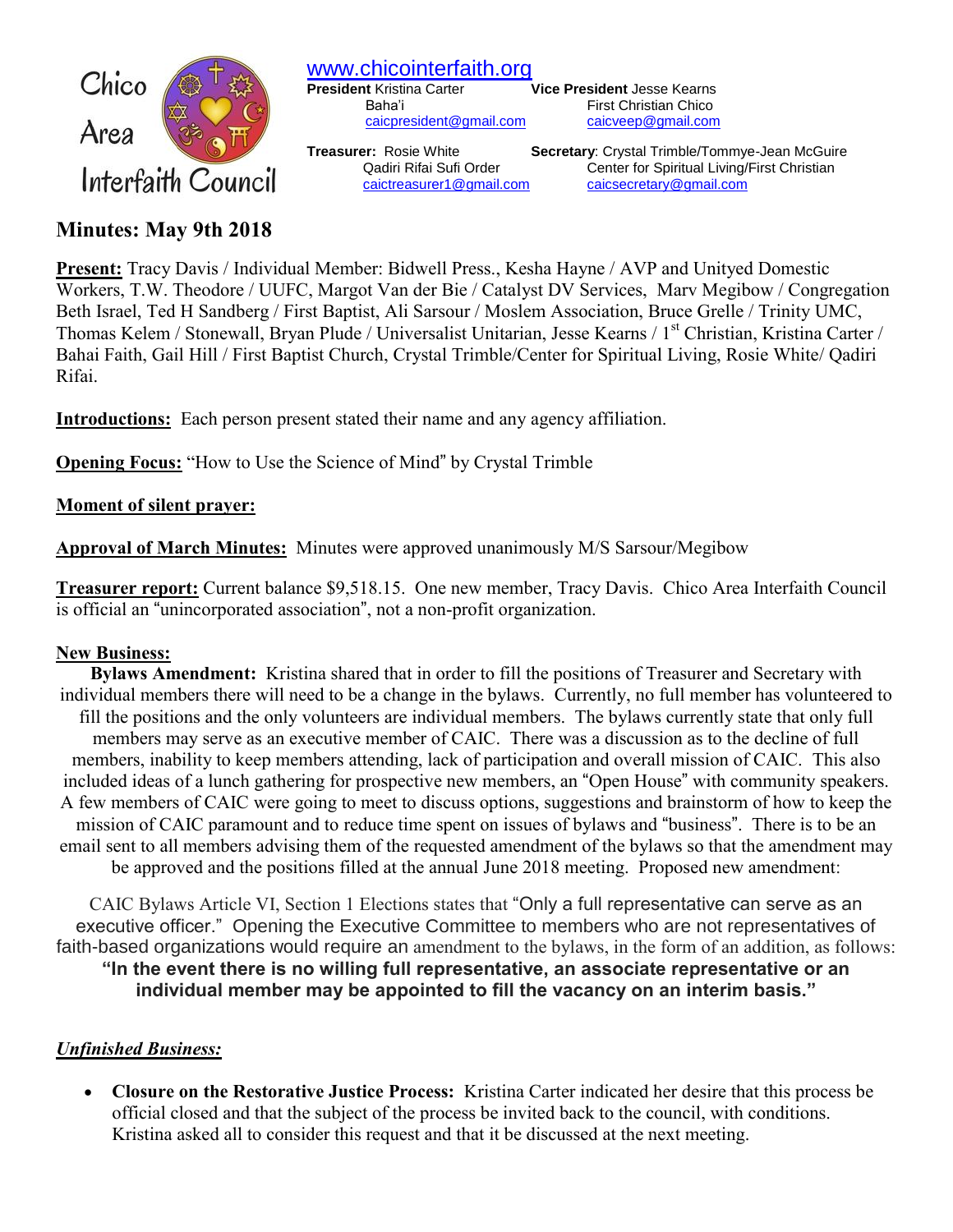

**Minutes: May 9th 2018**

[caicpresident@gmail.com](mailto:caicpresident@gmail.com)

**Vice President** Jesse Kearns Baha'i First Christian Chico<br>
<u>Caicpresident@gmail.com</u> caicveep@gmail.com

**Treasurer:** Rosie White **Secretary**: Crystal Trimble/Tommye-Jean McGuire Qadiri Rifai Sufi Order Center for Spiritual Living/First Christian [caictreasurer1@gmail.com](mailto:caictreasurer1@gmail.com) [caicsecretary@gmail.com](mailto:caicsecretary@gmail.com)

**Present:** Tracy Davis / Individual Member: Bidwell Press., Kesha Hayne / AVP and Unityed Domestic Workers, T.W. Theodore / UUFC, Margot Van der Bie / Catalyst DV Services, Marv Megibow / Congregation Beth Israel, Ted H Sandberg / First Baptist, Ali Sarsour / Moslem Association, Bruce Grelle / Trinity UMC, Thomas Kelem / Stonewall, Bryan Plude / Universalist Unitarian, Jesse Kearns / 1<sup>st</sup> Christian, Kristina Carter / Bahai Faith, Gail Hill / First Baptist Church, Crystal Trimble/Center for Spiritual Living, Rosie White/ Qadiri Rifai.

**Introductions:** Each person present stated their name and any agency affiliation.

**Opening Focus:** "How to Use the Science of Mind" by Crystal Trimble

# **Moment of silent prayer:**

**Approval of March Minutes:** Minutes were approved unanimously M/S Sarsour/Megibow

**Treasurer report:** Current balance \$9,518.15. One new member, Tracy Davis. Chico Area Interfaith Council is official an "unincorporated association", not a non-profit organization.

# **New Business:**

**Bylaws Amendment:** Kristina shared that in order to fill the positions of Treasurer and Secretary with individual members there will need to be a change in the bylaws. Currently, no full member has volunteered to fill the positions and the only volunteers are individual members. The bylaws currently state that only full members may serve as an executive member of CAIC. There was a discussion as to the decline of full members, inability to keep members attending, lack of participation and overall mission of CAIC.This also included ideas of a lunch gathering for prospective new members, an "Open House" with community speakers. A few members of CAIC were going to meet to discuss options, suggestions and brainstorm of how to keep the mission of CAIC paramount and to reduce time spent on issues of bylaws and "business". There is to be an email sent to all members advising them of the requested amendment of the bylaws so that the amendment may be approved and the positions filled at the annual June 2018 meeting. Proposed new amendment:

CAIC Bylaws Article VI, Section 1 Elections states that "Only a full representative can serve as an executive officer." Opening the Executive Committee to members who are not representatives of faith-based organizations would require an amendment to the bylaws, in the form of an addition, as follows: **"In the event there is no willing full representative, an associate representative or an individual member may be appointed to fill the vacancy on an interim basis."**

# *Unfinished Business:*

 **Closure on the Restorative Justice Process:** Kristina Carter indicated her desire that this process be official closed and that the subject of the process be invited back to the council, with conditions. Kristina asked all to consider this request and that it be discussed at the next meeting.